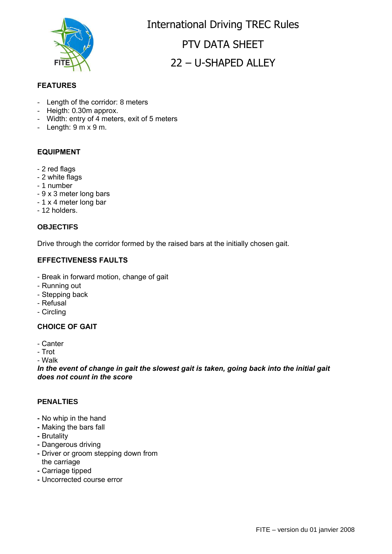

International Driving TREC Rules PTV DATA SHFFT 22 – U-SHAPED ALLEY

## **FEATURES**

- Length of the corridor: 8 meters
- Heigth: 0.30m approx.
- Width: entry of 4 meters, exit of 5 meters
- Length:  $9 \text{ m} \times 9 \text{ m}$ .

#### **EQUIPMENT**

- 2 red flags
- 2 white flags
- 1 number
- 9 x 3 meter long bars
- 1 x 4 meter long bar
- 12 holders.

#### **OBJECTIFS**

Drive through the corridor formed by the raised bars at the initially chosen gait.

## **EFFECTIVENESS FAULTS**

- Break in forward motion, change of gait
- Running out
- Stepping back
- Refusal
- Circling

#### **CHOICE OF GAIT**

- Canter
- Trot

- Walk

*In the event of change in gait the slowest gait is taken, going back into the initial gait does not count in the score*

#### **PENALTIES**

- **-** No whip in the hand
- **-** Making the bars fall
- **-** Brutality
- **-** Dangerous driving
- **-** Driver or groom stepping down from the carriage
- **-** Carriage tipped
- **-** Uncorrected course error